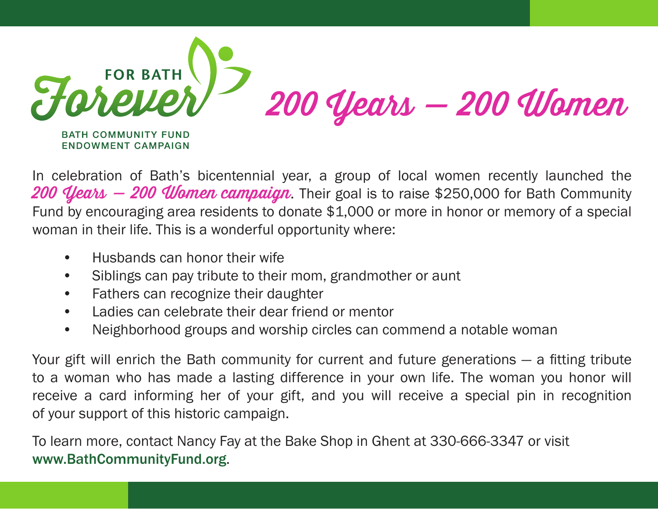

In celebration of Bath's bicentennial year, a group of local women recently launched the 200  $\ell$ lears  $-$  200 Women campaign. Their goal is to raise \$250,000 for Bath Community Fund by encouraging area residents to donate \$1,000 or more in honor or memory of a special woman in their life. This is a wonderful opportunity where:

- Husbands can honor their wife
- Siblings can pay tribute to their mom, grandmother or aunt
- Fathers can recognize their daughter
- Ladies can celebrate their dear friend or mentor
- Neighborhood groups and worship circles can commend a notable woman

Your gift will enrich the Bath community for current and future generations — a fitting tribute to a woman who has made a lasting difference in your own life. The woman you honor will receive a card informing her of your gift, and you will receive a special pin in recognition of your support of this historic campaign.

To learn more, contact Nancy Fay at the Bake Shop in Ghent at 330-666-3347 or visit <www.BathCommunityFund.org>.